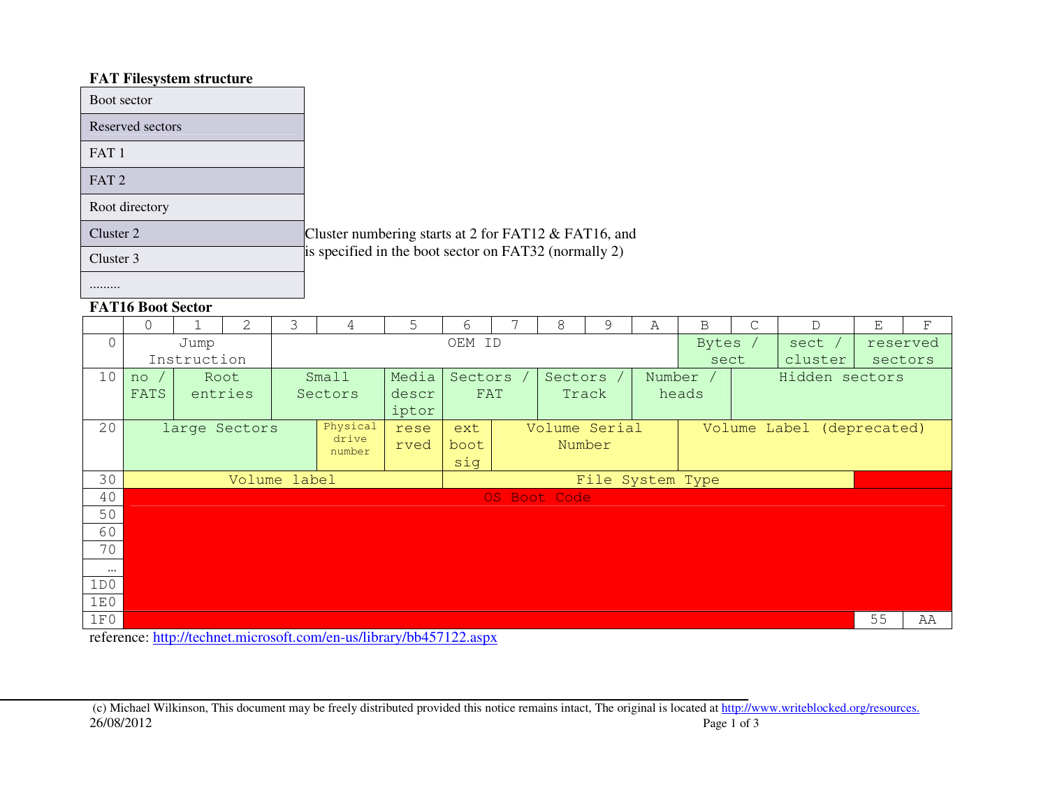# **FAT Filesystem structure**

| Boot sector      |                                                        |
|------------------|--------------------------------------------------------|
| Reserved sectors |                                                        |
| FAT <sub>1</sub> |                                                        |
| FAT <sub>2</sub> |                                                        |
| Root directory   |                                                        |
| Cluster 2        | Cluster numbering starts at 2 for FAT12 $&$ FAT16, and |
| Cluster 3        | is specified in the boot sector on FAT32 (normally 2)  |
|                  |                                                        |

# **FAT16 Boot Sector**

|          | $\Omega$                          |                         | $\mathfrak{L}$ | 3 | 4       | 5          | 6      |                      | 8            | 9             | Α      | B       | C | $\mathsf{D}$              | E              | $\mathbf F$ |  |
|----------|-----------------------------------|-------------------------|----------------|---|---------|------------|--------|----------------------|--------------|---------------|--------|---------|---|---------------------------|----------------|-------------|--|
| $\Omega$ |                                   | Jump                    |                |   |         |            | OEM ID |                      |              |               |        | Bytes / |   | sect /                    | reserved       |             |  |
|          | Instruction                       |                         |                |   |         |            |        |                      |              |               |        | sect    |   | cluster                   | sectors        |             |  |
| 10       | no                                |                         | Root           |   | Small   | Media      |        | Sectors<br>Sectors / |              |               | Number |         |   |                           | Hidden sectors |             |  |
|          | <b>FATS</b>                       |                         | entries        |   | Sectors | <b>FAT</b> |        |                      | Track        | heads         |        |         |   |                           |                |             |  |
|          |                                   |                         |                |   |         | iptor      |        |                      |              |               |        |         |   |                           |                |             |  |
| 20       | Physical<br>large Sectors<br>rese |                         |                |   |         |            | ext    |                      |              | Volume Serial |        |         |   | Volume Label (deprecated) |                |             |  |
|          |                                   | drive<br>rved<br>number |                |   |         |            |        | Number<br>boot       |              |               |        |         |   |                           |                |             |  |
|          |                                   |                         |                |   |         |            | sig    |                      |              |               |        |         |   |                           |                |             |  |
| 30       | Volume label<br>File System Type  |                         |                |   |         |            |        |                      |              |               |        |         |   |                           |                |             |  |
| 40       |                                   |                         |                |   |         |            |        |                      | OS Boot Code |               |        |         |   |                           |                |             |  |
| 50       |                                   |                         |                |   |         |            |        |                      |              |               |        |         |   |                           |                |             |  |
| 60       |                                   |                         |                |   |         |            |        |                      |              |               |        |         |   |                           |                |             |  |
| 70       |                                   |                         |                |   |         |            |        |                      |              |               |        |         |   |                           |                |             |  |
| $\cdots$ |                                   |                         |                |   |         |            |        |                      |              |               |        |         |   |                           |                |             |  |
| 1D0      |                                   |                         |                |   |         |            |        |                      |              |               |        |         |   |                           |                |             |  |
| 1E0      |                                   |                         |                |   |         |            |        |                      |              |               |        |         |   |                           |                |             |  |
| 1F0      |                                   |                         |                |   |         |            |        |                      |              |               |        |         |   |                           | 55             | AA          |  |

reference: <u>http://technet.microsoft.com/en-us/library/bb457122.aspx</u>

 (c) Michael Wilkinson, This document may be freely distributed provided this notice remains intact, The original is located at http://www.writeblocked.org/resources.26/08/2012Page 1 of 3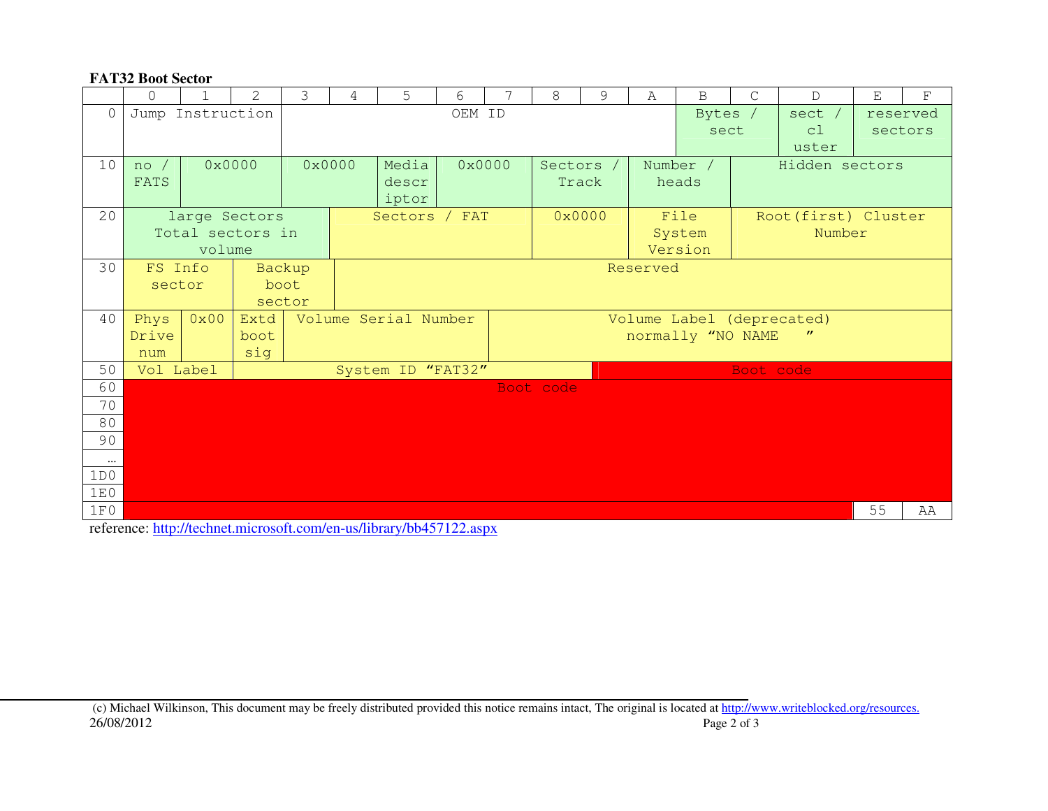### **FAT32 Boot Sector**

|                 | $\Omega$         | 1      | $\mathcal{L}$    | 3      | 4      | 5                    | 6      | $\overline{7}$ | 8         | 9 | $\mathsf{A}$                                                        | $\mathbf B$ | $\mathcal{C}$  | $\mathsf{D}$         | E        | F  |  |
|-----------------|------------------|--------|------------------|--------|--------|----------------------|--------|----------------|-----------|---|---------------------------------------------------------------------|-------------|----------------|----------------------|----------|----|--|
| $\Omega$        | Jump Instruction |        |                  |        |        |                      | OEM ID |                |           |   |                                                                     | Bytes /     |                | sect /               | reserved |    |  |
|                 |                  |        |                  |        |        |                      |        |                |           |   |                                                                     | sect        |                | c1                   | sectors  |    |  |
|                 |                  |        |                  |        |        |                      |        |                |           |   |                                                                     |             |                | uster                |          |    |  |
| 10              | $no$ /           |        | 0x0000           |        | 0x0000 | Media                |        | 0x0000         | Sectors / |   |                                                                     | Number /    | Hidden sectors |                      |          |    |  |
|                 | FATS             |        |                  |        |        | descr                |        |                | Track     |   |                                                                     | heads       |                |                      |          |    |  |
|                 |                  |        |                  |        |        | iptor                |        |                |           |   |                                                                     |             |                |                      |          |    |  |
| 20              |                  |        | large Sectors    |        |        | Sectors / FAT        |        |                | 0x0000    |   |                                                                     | File        |                | Root (first) Cluster |          |    |  |
|                 |                  |        | Total sectors in |        |        |                      |        |                |           |   |                                                                     | System      | Number         |                      |          |    |  |
|                 |                  | volume |                  |        |        |                      |        |                |           |   |                                                                     | Version     |                |                      |          |    |  |
| 30              | FS Info          |        |                  | Backup |        | Reserved             |        |                |           |   |                                                                     |             |                |                      |          |    |  |
|                 | sector           |        | boot             |        |        |                      |        |                |           |   |                                                                     |             |                |                      |          |    |  |
|                 |                  |        |                  | sector |        |                      |        |                |           |   |                                                                     |             |                |                      |          |    |  |
| 40              | Phys<br>Drive    | 0x00   | Extd             |        |        | Volume Serial Number |        |                |           |   | Volume Label (deprecated)<br>normally "NO NAME<br>$^{\prime\prime}$ |             |                |                      |          |    |  |
|                 | num              |        | boot<br>sig      |        |        |                      |        |                |           |   |                                                                     |             |                |                      |          |    |  |
| 50              | Vol Label        |        |                  |        |        | System ID "FAT32"    |        |                |           |   |                                                                     |             | Boot code      |                      |          |    |  |
| 60              |                  |        |                  |        |        |                      |        |                | Boot code |   |                                                                     |             |                |                      |          |    |  |
| 70              |                  |        |                  |        |        |                      |        |                |           |   |                                                                     |             |                |                      |          |    |  |
| 80              |                  |        |                  |        |        |                      |        |                |           |   |                                                                     |             |                |                      |          |    |  |
| 90              |                  |        |                  |        |        |                      |        |                |           |   |                                                                     |             |                |                      |          |    |  |
|                 |                  |        |                  |        |        |                      |        |                |           |   |                                                                     |             |                |                      |          |    |  |
| $\cdots$<br>1D0 |                  |        |                  |        |        |                      |        |                |           |   |                                                                     |             |                |                      |          |    |  |
| 1E0             |                  |        |                  |        |        |                      |        |                |           |   |                                                                     |             |                |                      |          |    |  |
| 1F0             |                  |        |                  |        |        |                      |        |                |           |   |                                                                     |             |                |                      | 55       | AA |  |
|                 |                  |        |                  |        |        |                      |        |                |           |   |                                                                     |             |                |                      |          |    |  |

reference: http://technet.microsoft.com/en-us/library/bb457122.aspx